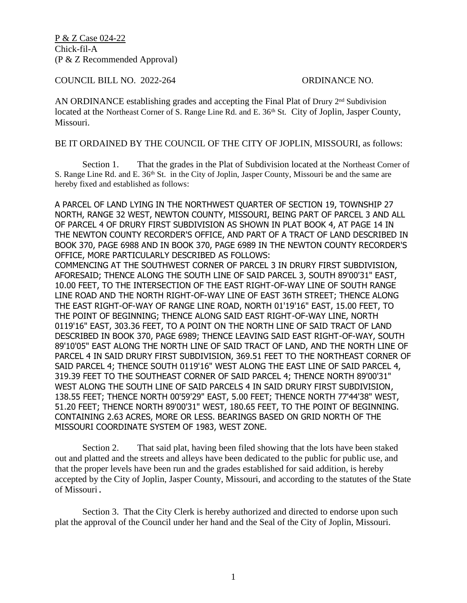P & Z Case 024-22 Chick-fil-A (P & Z Recommended Approval)

COUNCIL BILL NO. 2022-264 ORDINANCE NO.

AN ORDINANCE establishing grades and accepting the Final Plat of Drury  $2<sup>nd</sup>$  Subdivision located at the Northeast Corner of S. Range Line Rd. and E. 36<sup>th</sup> St. City of Joplin, Jasper County, Missouri.

BE IT ORDAINED BY THE COUNCIL OF THE CITY OF JOPLIN, MISSOURI, as follows:

Section 1. That the grades in the Plat of Subdivision located at the Northeast Corner of S. Range Line Rd. and E.  $36<sup>th</sup>$  St. in the City of Joplin, Jasper County, Missouri be and the same are hereby fixed and established as follows:

A PARCEL OF LAND LYING IN THE NORTHWEST QUARTER OF SECTION 19, TOWNSHIP 27 NORTH, RANGE 32 WEST, NEWTON COUNTY, MISSOURI, BEING PART OF PARCEL 3 AND ALL OF PARCEL 4 OF DRURY FIRST SUBDIVISION AS SHOWN IN PLAT BOOK 4, AT PAGE 14 IN THE NEWTON COUNTY RECORDER'S OFFICE, AND PART OF A TRACT OF LAND DESCRIBED IN BOOK 370, PAGE 6988 AND IN BOOK 370, PAGE 6989 IN THE NEWTON COUNTY RECORDER'S OFFICE, MORE PARTICULARLY DESCRIBED AS FOLLOWS: COMMENCING AT THE SOUTHWEST CORNER OF PARCEL 3 IN DRURY FIRST SUBDIVISION, AFORESAID; THENCE ALONG THE SOUTH LINE OF SAID PARCEL 3, SOUTH 89'00'31" EAST, 10.00 FEET, TO THE INTERSECTION OF THE EAST RIGHT-OF-WAY LINE OF SOUTH RANGE LINE ROAD AND THE NORTH RIGHT-OF-WAY LINE OF EAST 36TH STREET; THENCE ALONG THE EAST RIGHT-OF-WAY OF RANGE LINE ROAD, NORTH 01'19'16" EAST, 15.00 FEET, TO THE POINT OF BEGINNING; THENCE ALONG SAID EAST RIGHT-OF-WAY LINE, NORTH 0119'16" EAST, 303.36 FEET, TO A POINT ON THE NORTH LINE OF SAID TRACT OF LAND DESCRIBED IN BOOK 370, PAGE 6989; THENCE LEAVING SAID EAST RIGHT-OF-WAY, SOUTH 89'10'05" EAST ALONG THE NORTH LINE OF SAID TRACT OF LAND, AND THE NORTH LINE OF PARCEL 4 IN SAID DRURY FIRST SUBDIVISION, 369.51 FEET TO THE NORTHEAST CORNER OF SAID PARCEL 4; THENCE SOUTH 0119'16" WEST ALONG THE EAST LINE OF SAID PARCEL 4, 319.39 FEET TO THE SOUTHEAST CORNER OF SAID PARCEL 4; THENCE NORTH 89'00'31" WEST ALONG THE SOUTH LINE OF SAID PARCELS 4 IN SAID DRURY FIRST SUBDIVISION, 138.55 FEET; THENCE NORTH 00'59'29" EAST, 5.00 FEET; THENCE NORTH 77'44'38" WEST, 51.20 FEET; THENCE NORTH 89'00'31" WEST, 180.65 FEET, TO THE POINT OF BEGINNING. CONTAINING 2.63 ACRES, MORE OR LESS. BEARINGS BASED ON GRID NORTH OF THE MISSOURI COORDINATE SYSTEM OF 1983, WEST ZONE.

Section 2. That said plat, having been filed showing that the lots have been staked out and platted and the streets and alleys have been dedicated to the public for public use, and that the proper levels have been run and the grades established for said addition, is hereby accepted by the City of Joplin, Jasper County, Missouri, and according to the statutes of the State of Missouri.

Section 3. That the City Clerk is hereby authorized and directed to endorse upon such plat the approval of the Council under her hand and the Seal of the City of Joplin, Missouri.